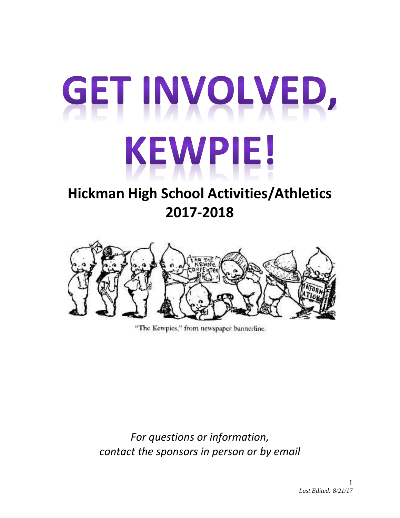# GET INVOLVED, KEWPIE!

# **Hickman High School Activities/Athletics 2017-2018**



"The Kewpies," from newspaper bannerline.

*For questions or information, contact the sponsors in person or by email*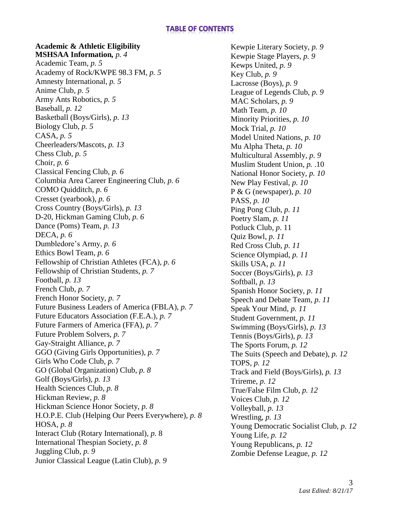# **TABLE OF CONTENTS**

### **Academic & Athletic Eligibility MSHSAA Information***, p. 4*

Academic Team, *p. 5* Academy of Rock/KWPE 98.3 FM, *p. 5* Amnesty International, *p. 5* Anime Club, *p. 5* Army Ants Robotics, *p. 5* Baseball, *p. 12* Basketball (Boys/Girls), *p. 13* Biology Club, *p. 5* CASA, *p. 5* Cheerleaders/Mascots, *p. 13* Chess Club, *p. 5* Choir, *p. 6* Classical Fencing Club, *p. 6* Columbia Area Career Engineering Club, *p. 6* COMO Quidditch, *p. 6* Cresset (yearbook), *p. 6* Cross Country (Boys/Girls), *p. 13* D-20, Hickman Gaming Club, *p. 6* Dance (Poms) Team, *p. 13* DECA, *p. 6* Dumbledore's Army, *p. 6* Ethics Bowl Team, *p. 6* Fellowship of Christian Athletes (FCA), *p. 6* Fellowship of Christian Students, *p. 7* Football, *p. 13* French Club, *p. 7* French Honor Society, *p. 7* Future Business Leaders of America (FBLA), *p. 7* Future Educators Association (F.E.A.), *p. 7* Future Farmers of America (FFA), *p. 7* Future Problem Solvers, *p. 7* Gay-Straight Alliance, *p. 7* GGO (Giving Girls Opportunities), *p. 7* Girls Who Code Club, *p. 7* GO (Global Organization) Club, *p. 8* Golf (Boys/Girls), *p. 13* Health Sciences Club, *p. 8* Hickman Review, *p. 8* Hickman Science Honor Society, *p. 8* H.O.P.E. Club (Helping Our Peers Everywhere), *p. 8* HOSA, *p. 8* Interact Club (Rotary International), *p.* 8 International Thespian Society, *p. 8* Juggling Club*, p. 9* Junior Classical League (Latin Club), *p. 9*

Kewpie Literary Society, *p. 9* Kewpie Stage Players, *p. 9* Kewps United, *p. 9* Key Club, *p. 9*  Lacrosse (Boys), *p. 9* League of Legends Club, *p. 9* MAC Scholars, *p. 9* Math Team, *p. 10* Minority Priorities, *p. 10* Mock Trial, *p. 10* Model United Nations, *p. 10* Mu Alpha Theta, *p. 10* Multicultural Assembly, *p. 9* Muslim Student Union, *p.* .10 National Honor Society, *p. 10* New Play Festival, *p. 10* P & G (newspaper), *p. 10* PASS, *p. 10* Ping Pong Club, *p. 11* Poetry Slam, *p. 11* Potluck Club*, p*. 11 Quiz Bowl, *p. 11* Red Cross Club, *p. 11* Science Olympiad, *p. 11* Skills USA, *p. 11* Soccer (Boys/Girls), *p. 13* Softball, *p. 13* Spanish Honor Society, *p. 11* Speech and Debate Team, *p. 11* Speak Your Mind, *p. 11* Student Government, *p. 11* Swimming (Boys/Girls), *p. 13* Tennis (Boys/Girls), *p. 13* The Sports Forum, *p. 12* The Suits (Speech and Debate), *p. 12* TOPS*, p. 12* Track and Field (Boys/Girls), *p. 13* Trireme, *p. 12* True/False Film Club, *p. 12* Voices Club, *p. 12* Volleyball, *p. 13* Wrestling, *p. 13* Young Democratic Socialist Club, *p. 12* Young Life, *p. 12* Young Republicans, *p. 12* Zombie Defense League, *p. 12*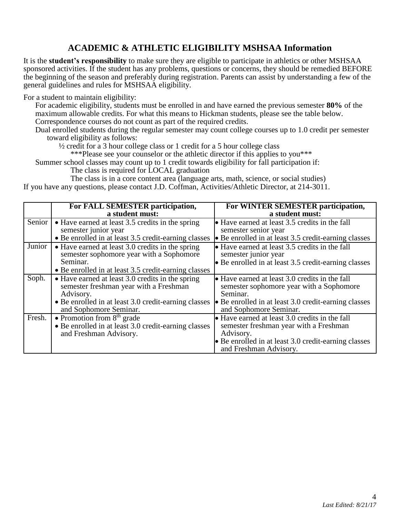# **ACADEMIC & ATHLETIC ELIGIBILITY MSHSAA Information**

It is the **student's responsibility** to make sure they are eligible to participate in athletics or other MSHSAA sponsored activities. If the student has any problems, questions or concerns, they should be remedied BEFORE the beginning of the season and preferably during registration. Parents can assist by understanding a few of the general guidelines and rules for MSHSAA eligibility.

For a student to maintain eligibility:

For academic eligibility, students must be enrolled in and have earned the previous semester **80%** of the maximum allowable credits. For what this means to Hickman students, please see the table below. Correspondence courses do not count as part of the required credits.

Dual enrolled students during the regular semester may count college courses up to 1.0 credit per semester toward eligibility as follows:

½ credit for a 3 hour college class or 1 credit for a 5 hour college class

\*\*\*Please see your counselor or the athletic director if this applies to you\*\*\*

Summer school classes may count up to 1 credit towards eligibility for fall participation if:

The class is required for LOCAL graduation

The class is in a core content area (language arts, math, science, or social studies)

If you have any questions, please contact J.D. Coffman, Activities/Athletic Director, at 214-3011.

|        | For FALL SEMESTER participation,<br>a student must:                                                                                                                                       | For WINTER SEMESTER participation,<br>a student must:                                                                                                                                           |
|--------|-------------------------------------------------------------------------------------------------------------------------------------------------------------------------------------------|-------------------------------------------------------------------------------------------------------------------------------------------------------------------------------------------------|
| Senior | • Have earned at least 3.5 credits in the spring<br>semester junior year<br>• Be enrolled in at least 3.5 credit-earning classes                                                          | • Have earned at least 3.5 credits in the fall<br>semester senior year<br>• Be enrolled in at least 3.5 credit-earning classes                                                                  |
| Junior | • Have earned at least 3.0 credits in the spring<br>semester sophomore year with a Sophomore<br>Seminar.<br>• Be enrolled in at least 3.5 credit-earning classes                          | • Have earned at least 3.5 credits in the fall<br>semester junior year<br>• Be enrolled in at least 3.5 credit-earning classes                                                                  |
| Soph.  | • Have earned at least 3.0 credits in the spring<br>semester freshman year with a Freshman<br>Advisory.<br>• Be enrolled in at least 3.0 credit-earning classes<br>and Sophomore Seminar. | • Have earned at least 3.0 credits in the fall<br>semester sophomore year with a Sophomore<br>Seminar.<br>• Be enrolled in at least 3.0 credit-earning classes<br>and Sophomore Seminar.        |
| Fresh. | • Promotion from $8th$ grade<br>• Be enrolled in at least 3.0 credit-earning classes<br>and Freshman Advisory.                                                                            | $\bullet$ Have earned at least 3.0 credits in the fall<br>semester freshman year with a Freshman<br>Advisory.<br>• Be enrolled in at least 3.0 credit-earning classes<br>and Freshman Advisory. |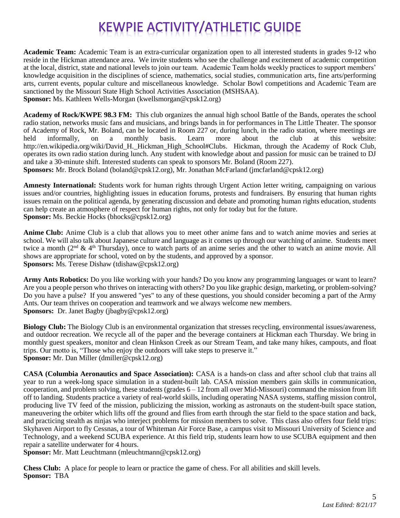# **KEWPIE ACTIVITY/ATHLETIC GUIDE**

**Academic Team:** Academic Team is an extra-curricular organization open to all interested students in grades 9-12 who reside in the Hickman attendance area. We invite students who see the challenge and excitement of academic competition at the local, district, state and national levels to join our team. Academic Team holds weekly practices to support members' knowledge acquisition in the disciplines of science, mathematics, social studies, communication arts, fine arts/performing arts, current events, popular culture and miscellaneous knowledge. Scholar Bowl competitions and Academic Team are sanctioned by the Missouri State High School Activities Association (MSHSAA). **Sponsor:** Ms. Kathleen Wells-Morgan (kwellsmorgan@cpsk12.org)

**Academy of Rock/KWPE 98.3 FM:** This club organizes the annual high school Battle of the Bands, operates the school radio station, networks music fans and musicians, and brings bands in for performances in The Little Theater. The sponsor of Academy of Rock, Mr. Boland, can be located in Room 227 or, during lunch, in the radio station, where meetings are held informally, on a monthly basis. Learn more about the club at this website: http://en.wikipedia.org/wiki/David H. Hickman High School#Clubs. Hickman, through the Academy of Rock Club, operates its own radio station during lunch. Any student with knowledge about and passion for music can be trained to DJ and take a 30-minute shift. Interested students can speak to sponsors Mr. Boland (Room 227).

**Sponsors:** Mr. Brock Boland (boland@cpsk12.org), Mr. Jonathan McFarland (jmcfarland@cpsk12.org)

**Amnesty International:** Students work for human rights through Urgent Action letter writing, campaigning on various issues and/or countries, highlighting issues in education forums, protests and fundraisers. By ensuring that human rights issues remain on the political agenda, by generating discussion and debate and promoting human rights education, students can help create an atmosphere of respect for human rights, not only for today but for the future. **Sponsor:** Ms. Beckie Hocks (bhocks@cpsk12.org)

**Anime Club:** Anime Club is a club that allows you to meet other anime fans and to watch anime movies and series at school. We will also talk about Japanese culture and language as it comes up through our watching of anime. Students meet twice a month ( $2<sup>nd</sup>$  &  $4<sup>th</sup>$  Thursday), once to watch parts of an anime series and the other to watch an anime movie. All shows are appropriate for school, voted on by the students, and approved by a sponsor. **Sponsors:** Ms. Terese Dishaw (tdishaw@cpsk12.org)

**Army Ants Robotics:** Do you like working with your hands? Do you know any programming languages or want to learn? Are you a people person who thrives on interacting with others? Do you like graphic design, marketing, or problem-solving? Do you have a pulse? If you answered "yes" to any of these questions, you should consider becoming a part of the Army Ants. Our team thrives on cooperation and teamwork and we always welcome new members. **Sponsors:** Dr. Janet Bagby (jbagby@cpsk12.org)

**Biology Club:** The Biology Club is an environmental organization that stresses recycling, environmental issues/awareness, and outdoor recreation. We recycle all of the paper and the beverage containers at Hickman each Thursday. We bring in monthly guest speakers, monitor and clean Hinkson Creek as our Stream Team, and take many hikes, campouts, and float trips. Our motto is, "Those who enjoy the outdoors will take steps to preserve it." **Sponsor:** Mr. Dan Miller (dmiller@cpsk12.org)

**CASA (Columbia Aeronautics and Space Association):** CASA is a hands-on class and after school club that trains all year to run a week-long space simulation in a student-built lab. CASA mission members gain skills in communication, cooperation, and problem solving, these students (grades  $6 - 12$  from all over Mid-Missouri) command the mission from lift off to landing. Students practice a variety of real-world skills, including operating NASA systems, staffing mission control, producing live TV feed of the mission, publicizing the mission, working as astronauts on the student-built space station, maneuvering the orbiter which lifts off the ground and flies from earth through the star field to the space station and back, and practicing stealth as ninjas who interject problems for mission members to solve. This class also offers four field trips: Skyhaven Airport to fly Cessnas, a tour of Whiteman Air Force Base, a campus visit to Missouri University of Science and Technology, and a weekend SCUBA experience. At this field trip, students learn how to use SCUBA equipment and then repair a satellite underwater for 4 hours.

**Sponsor:** Mr. Matt Leuchtmann (mleuchtmann@cpsk12.org)

**Chess Club:** A place for people to learn or practice the game of chess. For all abilities and skill levels. **Sponsor:** TBA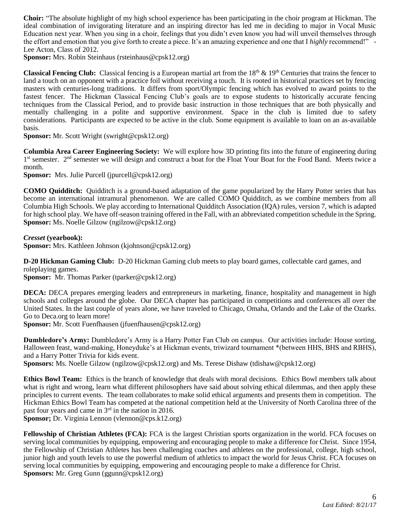**Choir:** "The absolute highlight of my high school experience has been participating in the choir program at Hickman. The ideal combination of invigorating literature and an inspiring director has led me in deciding to major in Vocal Music Education next year. When you sing in a choir, feelings that you didn't even know you had will unveil themselves through the effort and emotion that you give forth to create a piece. It's an amazing experience and one that I *highly* recommend!" - Lee Acton, Class of 2012.

**Sponsor:** Mrs. Robin Steinhaus (rsteinhaus@cpsk12.org)

**Classical Fencing Club:** Classical fencing is a European martial art from the 18<sup>th</sup> & 19<sup>th</sup> Centuries that trains the fencer to land a touch on an opponent with a practice foil without receiving a touch. It is rooted in historical practices set by fencing masters with centuries-long traditions. It differs from sport/Olympic fencing which has evolved to award points to the fastest fencer. The Hickman Classical Fencing Club's goals are to expose students to historically accurate fencing techniques from the Classical Period, and to provide basic instruction in those techniques that are both physically and mentally challenging in a polite and supportive environment. Space in the club is limited due to safety considerations. Participants are expected to be active in the club. Some equipment is available to loan on an as-available basis.

**Sponsor:** Mr. Scott Wright (swright@cpsk12.org)

**Columbia Area Career Engineering Society:** We will explore how 3D printing fits into the future of engineering during 1<sup>st</sup> semester. 2<sup>nd</sup> semester we will design and construct a boat for the Float Your Boat for the Food Band. Meets twice a month.

**Sponsor:** Mrs. Julie Purcell (jpurcell@cpsk12.org)

**COMO Quidditch:** Quidditch is a ground-based adaptation of the game popularized by the Harry Potter series that has become an international intramural phenomenon. We are called COMO Quidditch, as we combine members from all Columbia High Schools. We play according to International Quidditch Association (IQA) rules, version 7, which is adapted for high school play. We have off-season training offered in the Fall, with an abbreviated competition schedule in the Spring. **Sponsor:** Ms. Noelle Gilzow (ngilzow@cpsk12.org)

*Cresset* **(yearbook):**

**Sponsor:** Mrs. Kathleen Johnson (kjohnson@cpsk12.org)

**D-20 Hickman Gaming Club:** D-20 Hickman Gaming club meets to play board games, collectable card games, and roleplaying games.

**Sponsor:** Mr. Thomas Parker (tparker@cpsk12.org)

**DECA:** DECA prepares emerging leaders and entrepreneurs in marketing, finance, hospitality and management in high schools and colleges around the globe. Our DECA chapter has participated in competitions and conferences all over the United States. In the last couple of years alone, we have traveled to Chicago, Omaha, Orlando and the Lake of the Ozarks. Go to Deca.org to learn more!

**Sponsor:** Mr. Scott Fuenfhausen (jfuenfhausen@cpsk12.org)

**Dumbledore's Army:** Dumbledore's Army is a Harry Potter Fan Club on campus. Our activities include: House sorting, Halloween feast, wand-making, Honeyduke's at Hickman events, triwizard tournament \*(between HHS, BHS and RBHS), and a Harry Potter Trivia for kids event.

**Sponsors:** Ms. Noelle Gilzow (ngilzow@cpsk12.org) and Ms. Terese Dishaw (tdishaw@cpsk12.org)

**Ethics Bowl Team:** Ethics is the branch of knowledge that deals with moral decisions. Ethics Bowl members talk about what is right and wrong, learn what different philosophers have said about solving ethical dilemmas, and then apply these principles to current events. The team collaborates to make solid ethical arguments and presents them in competition. The Hickman Ethics Bowl Team has competed at the national competition held at the University of North Carolina three of the past four years and came in 3rd in the nation in 2016.

**Sponsor;** Dr. Virginia Lennon (vlennon@cps.k12.org)

**Fellowship of Christian Athletes (FCA):** FCA is the largest Christian sports organization in the world. FCA focuses on serving local communities by equipping, empowering and encouraging people to make a difference for Christ. Since 1954, the Fellowship of Christian Athletes has been challenging coaches and athletes on the professional, college, high school, junior high and youth levels to use the powerful medium of athletics to impact the world for Jesus Christ. FCA focuses on serving local communities by equipping, empowering and encouraging people to make a difference for Christ. **Sponsors:** Mr. Greg Gunn (ggunn@cpsk12.org)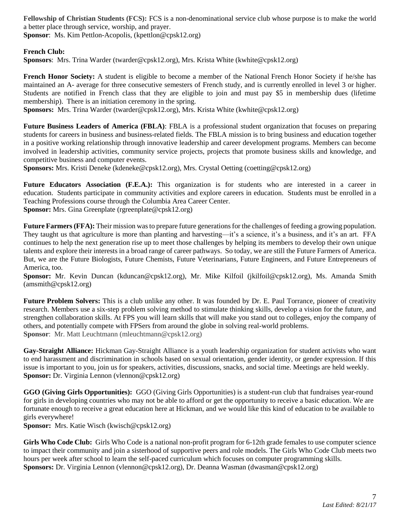**Fellowship of Christian Students (FCS):** FCS is a non-denominational service club whose purpose is to make the world a better place through service, worship, and prayer. **Sponsor**: Ms. Kim Pettlon-Acopolis, (kpettlon@cpsk12.org)

**French Club:** 

**Sponsors**: Mrs. Trina Warder (twarder@cpsk12.org), Mrs. Krista White (kwhite@cpsk12.org)

**French Honor Society:** A student is eligible to become a member of the National French Honor Society if he/she has maintained an A- average for three consecutive semesters of French study, and is currently enrolled in level 3 or higher. Students are notified in French class that they are eligible to join and must pay \$5 in membership dues (lifetime membership). There is an initiation ceremony in the spring.

**Sponsors:** Mrs. Trina Warder (twarder@cpsk12.org), Mrs. Krista White (kwhite@cpsk12.org)

**Future Business Leaders of America (FBLA)**: FBLA is a professional student organization that focuses on preparing students for careers in business and business-related fields. The FBLA mission is to bring business and education together in a positive working relationship through innovative leadership and career development programs. Members can become involved in leadership activities, community service projects, projects that promote business skills and knowledge, and competitive business and computer events.

**Sponsors:** Mrs. Kristi Deneke (kdeneke@cpsk12.org), Mrs. Crystal Oetting (coetting@cpsk12.org)

**Future Educators Association (F.E.A.):** This organization is for students who are interested in a career in education. Students participate in community activities and explore careers in education. Students must be enrolled in a Teaching Professions course through the Columbia Area Career Center. **Sponsor:** Mrs. Gina Greenplate (rgreenplate@cpsk12.org)

**Future Farmers (FFA):** Their mission was to prepare future generations for the challenges of feeding a growing population. They taught us that agriculture is more than planting and harvesting—it's a science, it's a business, and it's an art. FFA continues to help the next generation rise up to meet those challenges by helping its members to develop their own unique talents and explore their interests in a broad range of career pathways. So today, we are still the Future Farmers of America. But, we are the Future Biologists, Future Chemists, Future Veterinarians, Future Engineers, and Future Entrepreneurs of America, too.

**Sponsor:** Mr. Kevin Duncan (kduncan@cpsk12.org), Mr. Mike Kilfoil (jkilfoil@cpsk12.org), Ms. Amanda Smith (amsmith@cpsk12.org)

**Future Problem Solvers:** This is a club unlike any other. It was founded by Dr. E. Paul Torrance, pioneer of creativity research. Members use a six-step problem solving method to stimulate thinking skills, develop a vision for the future, and strengthen collaboration skills. At FPS you will learn skills that will make you stand out to colleges, enjoy the company of others, and potentially compete with FPSers from around the globe in solving real-world problems. **Sponsor**: Mr. Matt Leuchtmann (mleuchtmann@cpsk12.org)

**Gay-Straight Alliance:** Hickman Gay-Straight Alliance is a youth leadership organization for student activists who want to end harassment and discrimination in schools based on sexual orientation, gender identity, or gender expression. If this issue is important to you, join us for speakers, activities, discussions, snacks, and social time. Meetings are held weekly. **Sponsor:** Dr. Virginia Lennon (vlennon@cpsk12.org)

**GGO (Giving Girls Opportunities):** GGO (Giving Girls Opportunities) is a student-run club that fundraises year-round for girls in developing countries who may not be able to afford or get the opportunity to receive a basic education. We are fortunate enough to receive a great education here at Hickman, and we would like this kind of education to be available to girls everywhere!

**Sponsor:** Mrs. Katie Wisch (kwisch@cpsk12.org)

**Girls Who Code Club:** Girls Who Code is a national non-profit program for 6-12th grade females to use computer science to impact their community and join a sisterhood of supportive peers and role models. The Girls Who Code Club meets two hours per week after school to learn the self-paced curriculum which focuses on computer programming skills. **Sponsors:** Dr. Virginia Lennon (vlennon@cpsk12.org), Dr. Deanna Wasman (dwasman@cpsk12.org)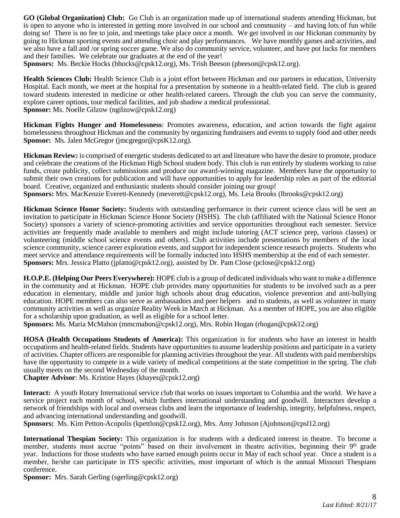**GO (Global Organization) Club:** Go Club is an organization made up of international students attending Hickman, but is open to anyone who is interested in getting more involved in our school and community – and having lots of fun while doing so! There is no fee to join, and meetings take place once a month. We get involved in our Hickman community by going to Hickman sporting events and attending choir and play performances. We have monthly games and activities, and we also have a fall and /or spring soccer game. We also do community service, volunteer, and have pot lucks for members and their families. We celebrate our graduates at the end of the year!

**Sponsors:** Ms. Beckie Hocks (bhocks@cpsk12.org), Ms. Trish Beeson (pbeeson@cpsk12.org).

**Health Sciences Club:** Health Science Club is a joint effort between Hickman and our partners in education, University Hospital. Each month, we meet at the hospital for a presentation by someone in a health-related field. The club is geared toward students interested in medicine or other health-related careers. Through the club you can serve the community, explore career options, tour medical facilities, and job shadow a medical professional. **Sponsor:** Ms. Noelle Gilzow (ngilzow@cpsk12.org)

**Hickman Fights Hunger and Homelessness**: Promotes awareness, education, and action towards the fight against homelessness throughout Hickman and the community by organizing fundraisers and events to supply food and other needs **Sponsor:** Ms. Jalen McGregor (jmcgregor@cpsK12.org).

**Hickman Review:** is comprised of energetic students dedicated to art and literature who have the desire to promote, produce and celebrate the creations of the Hickman High School student body. This club is run entirely by students working to raise funds, create publicity, collect submissions and produce our award-winning magazine. Members have the opportunity to submit their own creations for publication and will have opportunities to apply for leadership roles as part of the editorial board. Creative, organized and enthusiastic students should consider joining our group! **Sponsors:** Mrs. MacKenzie Everett-Kennedy (meverett@cpsk12.org), Ms. Leia Brooks (lbrooks@cpsk12.org)

**Hickman Science Honor Society:** Students with outstanding performance in their current science class will be sent an invitation to participate in Hickman Science Honor Society (HSHS). The club (affiliated with the National Science Honor Society) sponsors a variety of science-promoting activities and service opportunities throughout each semester. Service activities are frequently made available to members and might include tutoring (ACT science prep, various classes) or volunteering (middle school science events and others). Club activities include presentations by members of the local science community, science career exploration events, and support for independent science research projects. Students who meet service and attendance requirements will be formally inducted into HSHS membership at the end of each semester. **Sponsors:** Mrs. Jessica Platto (jplatto@cpsk12.org), assisted by Dr. Pam Close (pclose@cpsk12.org)

**H.O.P.E. (Helping Our Peers Everywhere):** HOPE club is a group of dedicated individuals who want to make a difference in the community and at Hickman. HOPE club provides many opportunities for students to be involved such as a peer education in elementary, middle and junior high schools about drug education, violence prevention and anti-bullying education. HOPE members can also serve as ambassadors and peer helpers and to students, as well as volunteer in many community activities as well as organize Reality Week in March at Hickman. As a member of HOPE, you are also eligible for a scholarship upon graduation, as well as eligible for a school letter.

**Sponsors:** Ms. Maria McMahon (mmcmahon@cpsk12.org), Mrs. Robin Hogan (rhogan@cpsk12.org)

**HOSA (Health Occupations Students of America):** This organization is for students who have an interest in health occupations and health-related fields. Students have opportunities to assume leadership positions and participate in a variety of activities. Chapter officers are responsible for planning activities throughout the year. All students with paid memberships have the opportunity to compete in a wide variety of medical competitions at the state competition in the spring. The club usually meets on the second Wednesday of the month.

**Chapter Advisor**: Ms. Kristine Hayes (khayes@cpsk12.org)

**Interact:** A youth Rotary International service club that works on issues important to Columbia and the world. We have a service project each month of school, which furthers international understanding and goodwill. Interactors develop a network of friendships with local and overseas clubs and learn the importance of leadership, integrity, helpfulness, respect, and advancing international understanding and goodwill.

**Sponsors:** Ms. Kim Petton-Acopolis (kpettlon@cpsk12.org), Mrs. Amy Johnson (Ajohnson@cpsl12.org)

**International Thespian Society:** This organization is for students with a dedicated interest in theatre. To become a member, students must accrue "points" based on their involvement in theatre activities, beginning their 9<sup>th</sup> grade year. Inductions for those students who have earned enough points occur in May of each school year. Once a student is a member, he/she can participate in ITS specific activities, most important of which is the annual Missouri Thespians conference.

**Sponsor:** Mrs. Sarah Gerling (sgerling@cpsk12.org)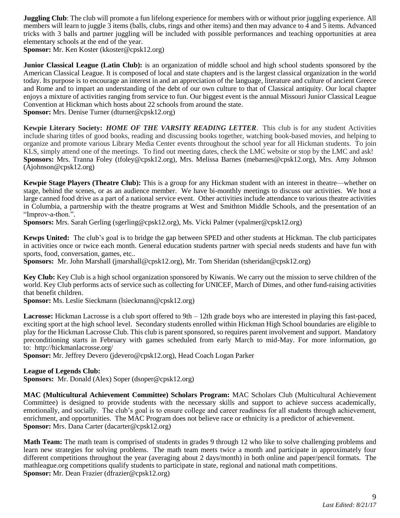**Juggling Club**: The club will promote a fun lifelong experience for members with or without prior juggling experience. All members will learn to juggle 3 items (balls, clubs, rings and other items) and then may advance to 4 and 5 items. Advanced tricks with 3 balls and partner juggling will be included with possible performances and teaching opportunities at area elementary schools at the end of the year.

**Sponsor:** Mr. Ken Koster (kkoster@cpsk12.org)

**Junior Classical League (Latin Club):** is an organization of middle school and high school students sponsored by the American Classical League. It is composed of local and state chapters and is the largest classical organization in the world today. Its purpose is to encourage an interest in and an appreciation of the language, literature and culture of ancient Greece and Rome and to impart an understanding of the debt of our own culture to that of Classical antiquity. Our local chapter enjoys a mixture of activities ranging from service to fun. Our biggest event is the annual Missouri Junior Classical League Convention at Hickman which hosts about 22 schools from around the state. **Sponsor:** Mrs. Denise Turner (dturner@cpsk12.org)

**Kewpie Literary Society:** *HOME OF THE VARSITY READING LETTER*. This club is for any student Activities include sharing titles of good books, reading and discussing books together, watching book-based movies, and helping to organize and promote various Library Media Center events throughout the school year for all Hickman students. To join KLS, simply attend one of the meetings. To find out meeting dates, check the LMC website or stop by the LMC and ask! **Sponsors:** Mrs. Tranna Foley (tfoley@cpsk12.org), Mrs. Melissa Barnes (mebarnes@cpsk12.org), Mrs. Amy Johnson (Ajohnson@cpsk12.org)

**Kewpie Stage Players (Theatre Club):** This is a group for any Hickman student with an interest in theatre—whether on stage, behind the scenes, or as an audience member. We have bi-monthly meetings to discuss our activities. We host a large canned food drive as a part of a national service event. Other activities include attendance to various theatre activities in Columbia, a partnership with the theatre programs at West and Smithton Middle Schools, and the presentation of an "Improv-a-thon.".

**Sponsors:** Mrs. Sarah Gerling (sgerling@cpsk12.org), Ms. Vicki Palmer [\(vpalmer@cpsk12.org\)](mailto:vpalmer@cpsk12.org)

**Kewps United:** The club's goal is to bridge the gap between SPED and other students at Hickman. The club participates in activities once or twice each month. General education students partner with special needs students and have fun with sports, food, conversation, games, etc..

**Sponsors:** Mr. John Marshall (jmarshall@cpsk12.org), Mr. Tom Sheridan (tsheridan@cpsk12.org)

**Key Club:** Key Club is a high school organization sponsored by Kiwanis. We carry out the mission to serve children of the world. Key Club performs acts of service such as collecting for UNICEF, March of Dimes, and other fund-raising activities that benefit children.

**Sponsor:** Ms. Leslie Sieckmann (lsieckmann@cpsk12.org)

**Lacrosse:** Hickman Lacrosse is a club sport offered to 9th – 12th grade boys who are interested in playing this fast-paced, exciting sport at the high school level. Secondary students enrolled within Hickman High School boundaries are eligible to play for the Hickman Lacrosse Club. This club is parent sponsored, so requires parent involvement and support. Mandatory preconditioning starts in February with games scheduled from early March to mid-May. For more information, go to: http://hickmanlacrosse.org/

**Sponsor:** Mr. Jeffrey Devero (jdevero@cpsk12.org), Head Coach Logan Parker

### **League of Legends Club:**

**Sponsors:** Mr. Donald (Alex) Soper (dsoper@cpsk12.org)

**MAC (Multicultural Achievement Committee) Scholars Program:** MAC Scholars Club (Multicultural Achievement Committee) is designed to provide students with the necessary skills and support to achieve success academically, emotionally, and socially. The club's goal is to ensure college and career readiness for all students through achievement, enrichment, and opportunities. The MAC Program does not believe race or ethnicity is a predictor of achievement. **Sponsor:** Mrs. Dana Carter (dacarter@cpsk12.org)

**Math Team:** The math team is comprised of students in grades 9 through 12 who like to solve challenging problems and learn new strategies for solving problems. The math team meets twice a month and participate in approximately four different competitions throughout the year (averaging about 2 days/month) in both online and paper/pencil formats. The mathleague.org competitions qualify students to participate in state, regional and national math competitions. **Sponsor:** Mr. Dean Frazier (dfrazier@cpsk12.org)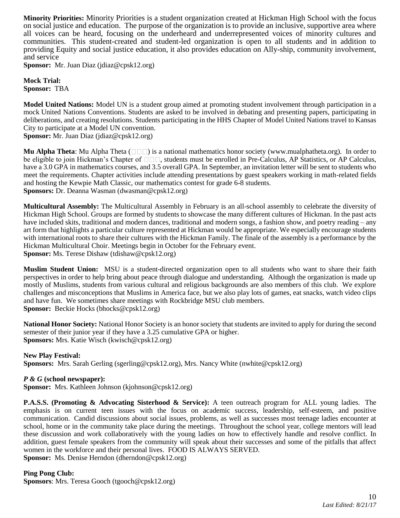**Minority Priorities:** Minority Priorities is a student organization created at Hickman High School with the focus on social justice and education. The purpose of the organization is to provide an inclusive, supportive area where all voices can be heard, focusing on the underheard and underrepresented voices of minority cultures and communities. This student-created and student-led organization is open to all students and in addition to providing Equity and social justice education, it also provides education on Ally-ship, community involvement, and service

**Sponsor:** Mr. Juan Diaz (jdiaz@cpsk12.org)

**Mock Trial: Sponsor:** TBA

**Model United Nations:** Model UN is a student group aimed at promoting student involvement through participation in a mock United Nations Conventions. Students are asked to be involved in debating and presenting papers, participating in deliberations, and creating resolutions. Students participating in the HHS Chapter of Model United Nations travel to Kansas City to participate at a Model UN convention.

**Sponsor:** Mr. Juan Diaz (jdiaz@cpsk12.org)

**Mu Alpha Theta**: Mu Alpha Theta ( $\Box$ ) is a national mathematics honor society (www.mualphatheta.org). In order to be eligible to join Hickman's Chapter of  $\Box \Box$ , students must be enrolled in Pre-Calculus, AP Statistics, or AP Calculus, have a 3.0 GPA in mathematics courses, and 3.5 overall GPA. In September, an invitation letter will be sent to students who meet the requirements. Chapter activities include attending presentations by guest speakers working in math-related fields and hosting the Kewpie Math Classic, our mathematics contest for grade 6-8 students. **Sponsors:** Dr. Deanna Wasman (dwasman@cpsk12.org)

**Multicultural Assembly:** The Multicultural Assembly in February is an all-school assembly to celebrate the diversity of Hickman High School. Groups are formed by students to showcase the many different cultures of Hickman. In the past acts have included skits, traditional and modern dances, traditional and modern songs, a fashion show, and poetry reading – any art form that highlights a particular culture represented at Hickman would be appropriate. We especially encourage students with international roots to share their cultures with the Hickman Family. The finale of the assembly is a performance by the Hickman Multicultural Choir. Meetings begin in October for the February event. **Sponsor:** Ms. Terese Dishaw (tdishaw@cpsk12.org)

**Muslim Student Union:** MSU is a student-directed organization open to all students who want to share their faith perspectives in order to help bring about peace through dialogue and understanding. Although the organization is made up mostly of Muslims, students from various cultural and religious backgrounds are also members of this club. We explore challenges and misconceptions that Muslims in America face, but we also play lots of games, eat snacks, watch video clips and have fun. We sometimes share meetings with Rockbridge MSU club members. **Sponsor:** Beckie Hocks (bhocks@cpsk12.org)

**National Honor Society:** National Honor Society is an honor society that students are invited to apply for during the second semester of their junior year if they have a 3.25 cumulative GPA or higher. **Sponsors:** Mrs. Katie Wisch (kwisch@cpsk12.org)

**New Play Festival: Sponsors:** Mrs. Sarah Gerling (sgerling@cpsk12.org), Mrs. Nancy White (nwhite@cpsk12.org)

# *P & G* **(school newspaper):**

**Sponsor:** Mrs. Kathleen Johnson (kjohnson@cpsk12.org)

**P.A.S.S. (Promoting & Advocating Sisterhood & Service):** A teen outreach program for ALL young ladies. The emphasis is on current teen issues with the focus on academic success, leadership, self-esteem, and positive communication. Candid discussions about social issues, problems, as well as successes most teenage ladies encounter at school, home or in the community take place during the meetings. Throughout the school year, college mentors will lead these discussion and work collaboratively with the young ladies on how to effectively handle and resolve conflict. In addition, guest female speakers from the community will speak about their successes and some of the pitfalls that affect women in the workforce and their personal lives. FOOD IS ALWAYS SERVED. **Sponsor:** Ms. Denise Herndon (dherndon@cpsk12.org)

**Ping Pong Club:** 

**Sponsors**: Mrs. Teresa Gooch (tgooch@cpsk12.org)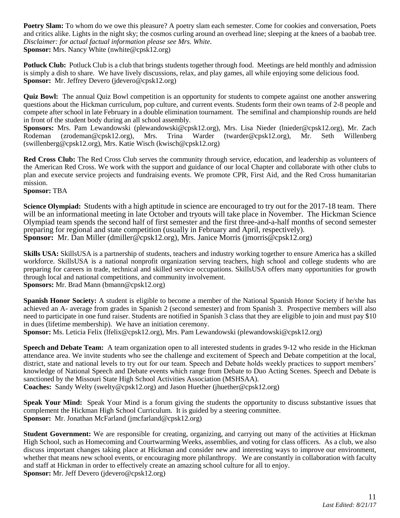**Poetry Slam:** To whom do we owe this pleasure? A poetry slam each semester. Come for cookies and conversation, Poets and critics alike. Lights in the night sky; the cosmos curling around an overhead line; sleeping at the knees of a baobab tree. *Disclaimer: for actual factual information please see Mrs. White.*  **Sponsor:** Mrs. Nancy White (nwhite@cpsk12.org)

**Potluck Club:** Potluck Club is a club that brings students together through food. Meetings are held monthly and admission is simply a dish to share. We have lively discussions, relax, and play games, all while enjoying some delicious food. **Sponsor:** Mr. Jeffrey Devero (jdevero@cpsk12.org)

**Quiz Bowl:** The annual Quiz Bowl competition is an opportunity for students to compete against one another answering questions about the Hickman curriculum, pop culture, and current events. Students form their own teams of 2-8 people and compete after school in late February in a double elimination tournament. The semifinal and championship rounds are held in front of the student body during an all school assembly.

**Sponsors:** Mrs. Pam Lewandowski (plewandowski@cpsk12.org), Mrs. Lisa Nieder (lnieder@cpsk12.org), Mr. Zach Rodeman (zrodeman@cpsk12.org), Mrs. Trina Warder (twarder@cpsk12.org), Mr. Seth Willenberg (swillenberg@cpsk12.org), Mrs. Katie Wisch (kwisch@cpsk12.org)

**Red Cross Club:** The Red Cross Club serves the community through service, education, and leadership as volunteers of the American Red Cross. We work with the support and guidance of our local Chapter and collaborate with other clubs to plan and execute service projects and fundraising events. We promote CPR, First Aid, and the Red Cross humanitarian mission.

**Sponsor:** TBA

**Science Olympiad:** Students with a high aptitude in science are encouraged to try out for the 2017-18 team. There will be an informational meeting in late October and tryouts will take place in November. The Hickman Science Olympiad team spends the second half of first semester and the first three-and-a-half months of second semester preparing for regional and state competition (usually in February and April, respectively). **Sponsor:** Mr. Dan Miller (dmiller@cpsk12.org), Mrs. Janice Morris (jmorris@cpsk12.org)

**Skills USA:** SkillsUSA is a partnership of students, teachers and industry working together to ensure America has a skilled workforce. SkillsUSA is a national nonprofit organization serving teachers, high school and college students who are preparing for careers in trade, technical and skilled service occupations. SkillsUSA offers many opportunities for growth through local and national competitions, and community involvement.

**Sponsors:** Mr. Brad Mann (bmann@cpsk12.org)

**Spanish Honor Society:** A student is eligible to become a member of the National Spanish Honor Society if he/she has achieved an A- average from grades in Spanish 2 (second semester) and from Spanish 3. Prospective members will also need to participate in one fund raiser. Students are notified in Spanish 3 class that they are eligible to join and must pay \$10 in dues (lifetime membership). We have an initiation ceremony.

**Sponsor:** Ms. Leticia Felix (lfelix@cpsk12.org), Mrs. Pam Lewandowski (plewandowski@cpsk12.org)

**Speech and Debate Team:** A team organization open to all interested students in grades 9-12 who reside in the Hickman attendance area. We invite students who see the challenge and excitement of Speech and Debate competition at the local, district, state and national levels to try out for our team. Speech and Debate holds weekly practices to support members' knowledge of National Speech and Debate events which range from Debate to Duo Acting Scenes. Speech and Debate is sanctioned by the Missouri State High School Activities Association (MSHSAA).

**Coaches:** Sandy Welty (swelty@cpsk12.org) and Jason Huether (jhuether@cpsk12.org)

**Speak Your Mind:** Speak Your Mind is a forum giving the students the opportunity to discuss substantive issues that complement the Hickman High School Curriculum. It is guided by a steering committee. **Sponsor:** Mr. Jonathan McFarland (jmcfarland@cpsk12.org)

**Student Government:** We are responsible for creating, organizing, and carrying out many of the activities at Hickman High School, such as Homecoming and Courtwarming Weeks, assemblies, and voting for class officers. As a club, we also discuss important changes taking place at Hickman and consider new and interesting ways to improve our environment, whether that means new school events, or encouraging more philanthropy. We are constantly in collaboration with faculty and staff at Hickman in order to effectively create an amazing school culture for all to enjoy. **Sponsor:** Mr. Jeff Devero (jdevero@cpsk12.org)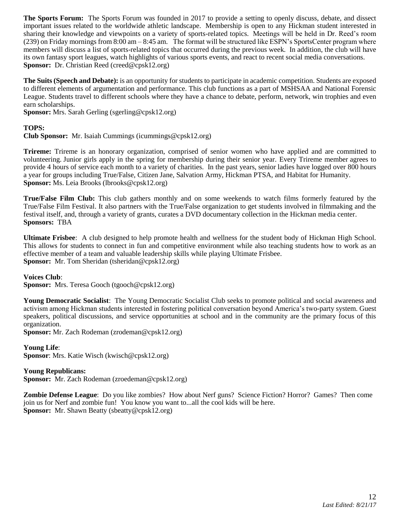**The Sports Forum:** The Sports Forum was founded in 2017 to provide a setting to openly discuss, debate, and dissect important issues related to the worldwide athletic landscape. Membership is open to any Hickman student interested in sharing their knowledge and viewpoints on a variety of sports-related topics. Meetings will be held in Dr. Reed's room (239) on Friday mornings from 8:00 am – 8:45 am. The format will be structured like ESPN's SportsCenter program where members will discuss a list of sports-related topics that occurred during the previous week. In addition, the club will have its own fantasy sport leagues, watch highlights of various sports events, and react to recent social media conversations. **Sponsor:** Dr. Christian Reed (creed@cpsk12.org)

**The Suits (Speech and Debate):** is an opportunity for students to participate in academic competition. Students are exposed to different elements of argumentation and performance. This club functions as a part of MSHSAA and National Forensic League. Students travel to different schools where they have a chance to debate, perform, network, win trophies and even earn scholarships.

**Sponsor:** Mrs. Sarah Gerling (sgerling@cpsk12.org)

# **TOPS:**

**Club Sponsor:** Mr. Isaiah Cummings (icummings@cpsk12.org)

**Trireme:** Trireme is an honorary organization, comprised of senior women who have applied and are committed to volunteering. Junior girls apply in the spring for membership during their senior year. Every Trireme member agrees to provide 4 hours of service each month to a variety of charities. In the past years, senior ladies have logged over 800 hours a year for groups including True/False, Citizen Jane, Salvation Army, Hickman PTSA, and Habitat for Humanity. **Sponsor:** Ms. Leia Brooks (lbrooks@cpsk12.org)

**True/False Film Club:** This club gathers monthly and on some weekends to watch films formerly featured by the True/False Film Festival. It also partners with the True/False organization to get students involved in filmmaking and the festival itself, and, through a variety of grants, curates a DVD documentary collection in the Hickman media center. **Sponsors:** TBA

**Ultimate Frisbee**: A club designed to help promote health and wellness for the student body of Hickman High School. This allows for students to connect in fun and competitive environment while also teaching students how to work as an effective member of a team and valuable leadership skills while playing Ultimate Frisbee. **Sponsor:** Mr. Tom Sheridan (tsheridan@cpsk12.org)

**Voices Club**:

**Sponsor:** Mrs. Teresa Gooch (tgooch@cpsk12.org)

**Young Democratic Socialist**: The Young Democratic Socialist Club seeks to promote political and social awareness and activism among Hickman students interested in fostering political conversation beyond America's two-party system. Guest speakers, political discussions, and service opportunities at school and in the community are the primary focus of this organization.

**Sponsor:** Mr. Zach Rodeman (zrodeman@cpsk12.org)

**Young Life**: **Sponsor**: Mrs. Katie Wisch (kwisch@cpsk12.org)

**Young Republicans:**

**Sponsor:** Mr. Zach Rodeman (zroedeman@cpsk12.org)

**Zombie Defense League**: Do you like zombies? How about Nerf guns? Science Fiction? Horror? Games? Then come join us for Nerf and zombie fun! You know you want to...all the cool kids will be here. **Sponsor:** Mr. Shawn Beatty (sbeatty@cpsk12.org)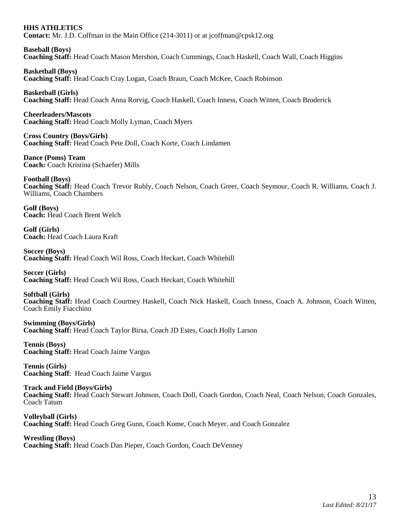# **HHS ATHLETICS**

**Contact:** Mr. J.D. Coffman in the Main Office (214-3011) or at jcoffman@cpsk12.org

**Baseball (Boys) Coaching Staff:** Head Coach Mason Mershon, Coach Cummings, Coach Haskell, Coach Wall, Coach Higgins

**Basketball (Boys) Coaching Staff:** Head Coach Cray Logan, Coach Braun, Coach McKee, Coach Robinson

**Basketball (Girls) Coaching Staff:** Head Coach Anna Rorvig, Coach Haskell, Coach Inness, Coach Witten, Coach Broderick

**Cheerleaders/Mascots Coaching Staff:** Head Coach Molly Lyman, Coach Myers

**Cross Country (Boys/Girls) Coaching Staff:** Head Coach Pete Doll, Coach Korte, Coach Lindamen

**Dance (Poms) Team Coach:** Coach Kristina (Schaefer) Mills

**Football (Boys) Coaching Staff:** Head Coach Trevor Rubly, Coach Nelson, Coach Greer, Coach Seymour, Coach R. Williams, Coach J. Williams, Coach Chambers

**Golf (Boys) Coach:** Head Coach Brent Welch

**Golf (Girls) Coach:** Head Coach Laura Kraft

**Soccer (Boys) Coaching Staff:** Head Coach Wil Ross, Coach Heckart, Coach Whitehill

**Soccer (Girls) Coaching Staff:** Head Coach Wil Ross, Coach Heckart, Coach Whitehill

**Softball (Girls) Coaching Staff:** Head Coach Courtney Haskell, Coach Nick Haskell, Coach Inness, Coach A. Johnson, Coach Witten, Coach Emily Fiacchino

**Swimming (Boys/Girls) Coaching Staff:** Head Coach Taylor Birsa, Coach JD Estes, Coach Holly Larson

**Tennis (Boys) Coaching Staff:** Head Coach Jaime Vargus

**Tennis (Girls) Coaching Staff**: Head Coach Jaime Vargus

**Track and Field (Boys/Girls) Coaching Staff:** Head Coach Stewart Johnson, Coach Doll, Coach Gordon, Coach Neal, Coach Nelson, Coach Gonzales, Coach Tatum

**Volleyball (Girls) Coaching Staff:** Head Coach Greg Gunn, Coach Kome, Coach Meyer, and Coach Gonzalez

**Wrestling (Boys) Coaching Staff:** Head Coach Dan Pieper, Coach Gordon, Coach DeVenney